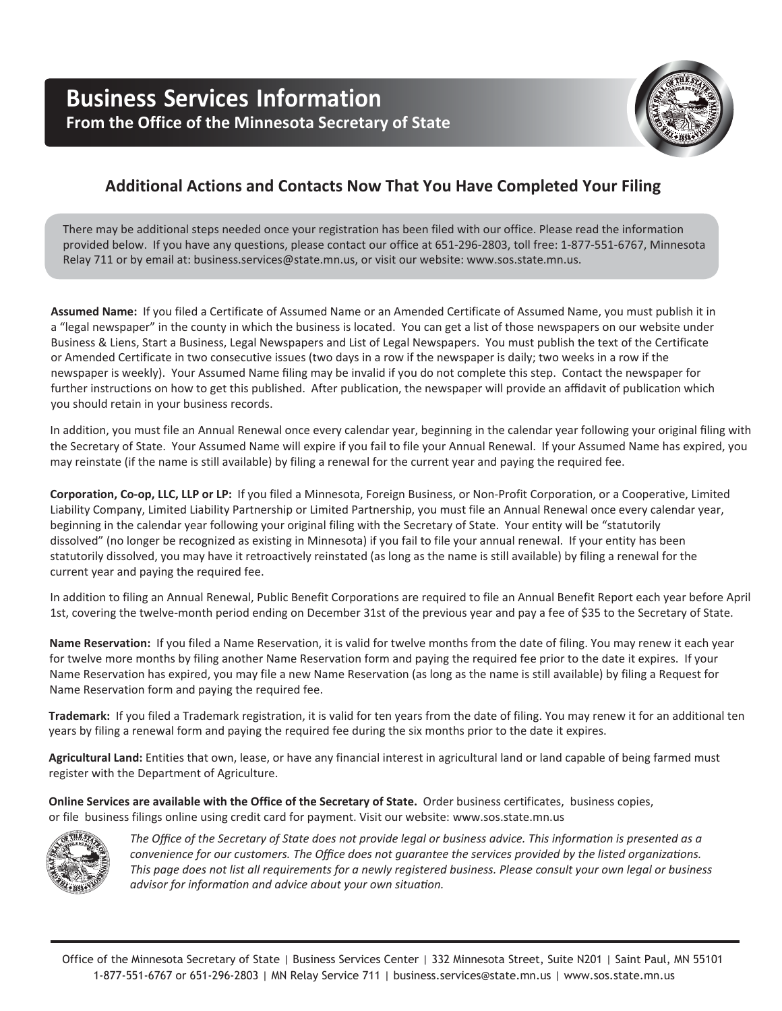

# **Additional Actions and Contacts Now That You Have Completed Your Filing**

There may be additional steps needed once your registration has been filed with our office. Please read the information provided below. If you have any questions, please contact our office at 651-296-2803, toll free: 1-877-551-6767, Minnesota Relay 711 or by email at: business.services@state.mn.us, or visit our website: www.sos.state.mn.us.

**Assumed Name:** If you filed a Certificate of Assumed Name or an Amended Certificate of Assumed Name, you must publish it in a "legal newspaper" in the county in which the business is located. You can get a list of those newspapers on our website under Business & Liens, Start a Business, Legal Newspapers and List of Legal Newspapers. You must publish the text of the Certificate or Amended Certificate in two consecutive issues (two days in a row if the newspaper is daily; two weeks in a row if the newspaper is weekly). Your Assumed Name filing may be invalid if you do not complete this step. Contact the newspaper for further instructions on how to get this published. After publication, the newspaper will provide an affidavit of publication which you should retain in your business records.

In addition, you must file an Annual Renewal once every calendar year, beginning in the calendar year following your original filing with the Secretary of State. Your Assumed Name will expire if you fail to file your Annual Renewal. If your Assumed Name has expired, you may reinstate (if the name is still available) by filing a renewal for the current year and paying the required fee.

**Corporation, Co-op, LLC, LLP or LP:** If you filed a Minnesota, Foreign Business, or Non-Profit Corporation, or a Cooperative, Limited Liability Company, Limited Liability Partnership or Limited Partnership, you must file an Annual Renewal once every calendar year, beginning in the calendar year following your original filing with the Secretary of State. Your entity will be "statutorily dissolved" (no longer be recognized as existing in Minnesota) if you fail to file your annual renewal. If your entity has been statutorily dissolved, you may have it retroactively reinstated (as long as the name is still available) by filing a renewal for the current year and paying the required fee.

In addition to filing an Annual Renewal, Public Benefit Corporations are required to file an Annual Benefit Report each year before April 1st, covering the twelve-month period ending on December 31st of the previous year and pay a fee of \$35 to the Secretary of State.

**Name Reservation:** If you filed a Name Reservation, it is valid for twelve months from the date of filing. You may renew it each year for twelve more months by filing another Name Reservation form and paying the required fee prior to the date it expires. If your Name Reservation has expired, you may file a new Name Reservation (as long as the name is still available) by filing a Request for Name Reservation form and paying the required fee.

**Trademark:** If you filed a Trademark registration, it is valid for ten years from the date of filing. You may renew it for an additional ten years by filing a renewal form and paying the required fee during the six months prior to the date it expires.

**Agricultural Land:** Entities that own, lease, or have any financial interest in agricultural land or land capable of being farmed must register with the Department of Agriculture.

**Online Services are available with the Office of the Secretary of State.** Order business certificates, business copies, or file business filings online using credit card for payment. Visit our website: www.sos.state.mn.us



*The Offi ce of the Secretary of State does not provide legal or business advice. This informaƟ on is presented as a convenience for our customers. The Office does not guarantee the services provided by the listed organizations. This page does not list all requirements for a newly registered business. Please consult your own legal or business advisor for informaƟ on and advice about your own situaƟon.*